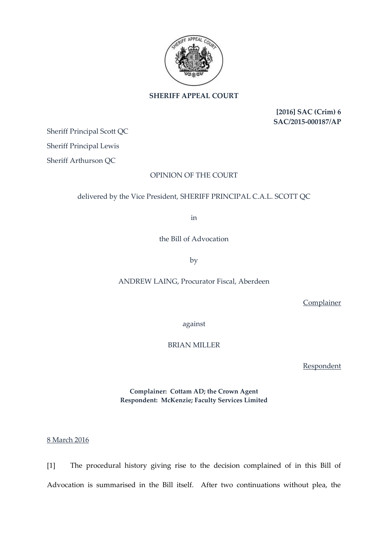

## **SHERIFF APPEAL COURT**

**[2016] SAC (Crim) 6 SAC/2015-000187/AP**

Sheriff Principal Scott QC

Sheriff Principal Lewis

Sheriff Arthurson QC

## OPINION OF THE COURT

## delivered by the Vice President, SHERIFF PRINCIPAL C.A.L. SCOTT QC

in

the Bill of Advocation

by

ANDREW LAING, Procurator Fiscal, Aberdeen

**Complainer** 

against

BRIAN MILLER

Respondent

**Complainer: Cottam AD; the Crown Agent Respondent: McKenzie; Faculty Services Limited**

8 March 2016

[1] The procedural history giving rise to the decision complained of in this Bill of Advocation is summarised in the Bill itself. After two continuations without plea, the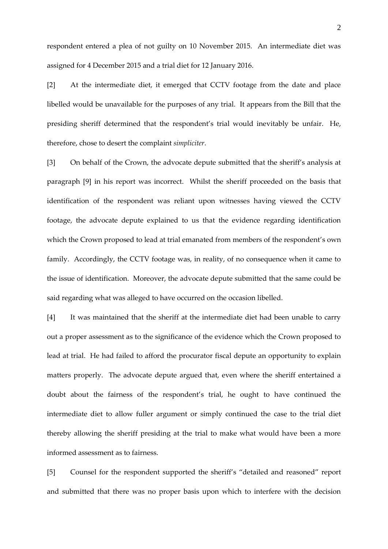respondent entered a plea of not guilty on 10 November 2015. An intermediate diet was assigned for 4 December 2015 and a trial diet for 12 January 2016.

[2] At the intermediate diet, it emerged that CCTV footage from the date and place libelled would be unavailable for the purposes of any trial. It appears from the Bill that the presiding sheriff determined that the respondent's trial would inevitably be unfair. He, therefore, chose to desert the complaint *simpliciter*.

[3] On behalf of the Crown, the advocate depute submitted that the sheriff's analysis at paragraph [9] in his report was incorrect. Whilst the sheriff proceeded on the basis that identification of the respondent was reliant upon witnesses having viewed the CCTV footage, the advocate depute explained to us that the evidence regarding identification which the Crown proposed to lead at trial emanated from members of the respondent's own family. Accordingly, the CCTV footage was, in reality, of no consequence when it came to the issue of identification. Moreover, the advocate depute submitted that the same could be said regarding what was alleged to have occurred on the occasion libelled.

[4] It was maintained that the sheriff at the intermediate diet had been unable to carry out a proper assessment as to the significance of the evidence which the Crown proposed to lead at trial. He had failed to afford the procurator fiscal depute an opportunity to explain matters properly. The advocate depute argued that, even where the sheriff entertained a doubt about the fairness of the respondent's trial, he ought to have continued the intermediate diet to allow fuller argument or simply continued the case to the trial diet thereby allowing the sheriff presiding at the trial to make what would have been a more informed assessment as to fairness.

[5] Counsel for the respondent supported the sheriff's "detailed and reasoned" report and submitted that there was no proper basis upon which to interfere with the decision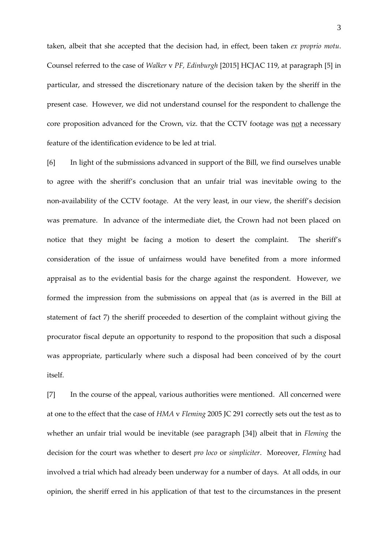taken, albeit that she accepted that the decision had, in effect, been taken *ex proprio motu*. Counsel referred to the case of *Walker* v *PF, Edinburgh* [2015] HCJAC 119, at paragraph [5] in particular, and stressed the discretionary nature of the decision taken by the sheriff in the present case. However, we did not understand counsel for the respondent to challenge the core proposition advanced for the Crown, viz. that the CCTV footage was not a necessary feature of the identification evidence to be led at trial.

[6] In light of the submissions advanced in support of the Bill, we find ourselves unable to agree with the sheriff's conclusion that an unfair trial was inevitable owing to the non-availability of the CCTV footage. At the very least, in our view, the sheriff's decision was premature. In advance of the intermediate diet, the Crown had not been placed on notice that they might be facing a motion to desert the complaint. The sheriff's consideration of the issue of unfairness would have benefited from a more informed appraisal as to the evidential basis for the charge against the respondent. However, we formed the impression from the submissions on appeal that (as is averred in the Bill at statement of fact 7) the sheriff proceeded to desertion of the complaint without giving the procurator fiscal depute an opportunity to respond to the proposition that such a disposal was appropriate, particularly where such a disposal had been conceived of by the court itself.

[7] In the course of the appeal, various authorities were mentioned. All concerned were at one to the effect that the case of *HMA* v *Fleming* 2005 JC 291 correctly sets out the test as to whether an unfair trial would be inevitable (see paragraph [34]) albeit that in *Fleming* the decision for the court was whether to desert *pro loco* or *simpliciter*. Moreover, *Fleming* had involved a trial which had already been underway for a number of days. At all odds, in our opinion, the sheriff erred in his application of that test to the circumstances in the present